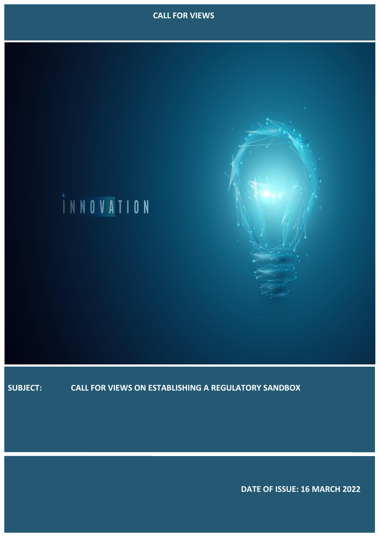



**SUBJECT: CALL FOR VIEWS ON ESTABLISHING A REGULATORY SANDBOX**

 **DATE OF ISSUE: 16 MARCH 2022**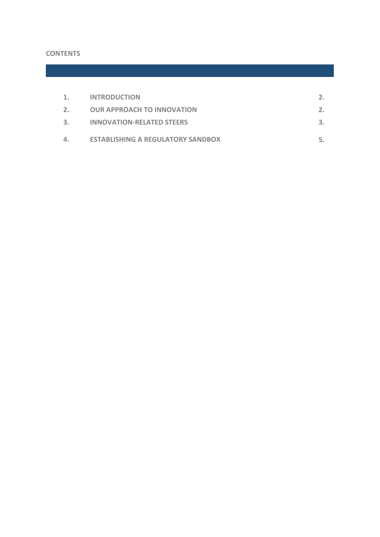# **CONTENTS**

| 1. | <b>INTRODUCTION</b>                      |    |
|----|------------------------------------------|----|
| 2. | <b>OUR APPROACH TO INNOVATION</b>        | 2. |
| 3. | <b>INNOVATION-RELATED STEERS</b>         |    |
| 4. | <b>ESTABLISHING A REGULATORY SANDBOX</b> |    |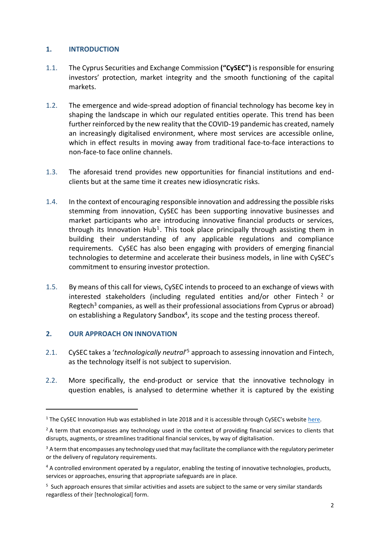## <span id="page-2-0"></span>**1. INTRODUCTION**

- 1.1. The Cyprus Securities and Exchange Commission **("CySEC")** is responsible for ensuring investors' protection, market integrity and the smooth functioning of the capital markets.
- 1.2. The emergence and wide-spread adoption of financial technology has become key in shaping the landscape in which our regulated entities operate. This trend has been further reinforced by the new reality that the COVID-19 pandemic has created, namely an increasingly digitalised environment, where most services are accessible online, which in effect results in moving away from traditional face-to-face interactions to non-face-to face online channels.
- 1.3. The aforesaid trend provides new opportunities for financial institutions and endclients but at the same time it creates new idiosyncratic risks.
- 1.4. In the context of encouraging responsible innovation and addressing the possible risks stemming from innovation, CySEC has been supporting innovative businesses and market participants who are introducing innovative financial products or services, through its Innovation Hub<sup>1</sup>. This took place principally through assisting them in building their understanding of any applicable regulations and compliance requirements. CySEC has also been engaging with providers of emerging financial technologies to determine and accelerate their business models, in line with CySEC's commitment to ensuring investor protection.
- 1.5. By means of this call for views, CySEC intends to proceed to an exchange of views with interested stakeholders (including regulated entities and/or other Fintech<sup>2</sup> or Regtech<sup>3</sup> companies, as well as their professional associations from Cyprus or abroad) on establishing a Regulatory Sandbox<sup>4</sup>, its scope and the testing process thereof.

## **2. OUR APPROACH ON INNOVATION**

**-**

- 2.1. CySEC takes a '*technologically neutral*' <sup>5</sup> approach to assessing innovation and Fintech, as the technology itself is not subject to supervision.
- 2.2. More specifically, the end-product or service that the innovative technology in question enables, is analysed to determine whether it is captured by the existing

<sup>&</sup>lt;sup>1</sup> The CySEC Innovation Hub was established in late 2018 and it is accessible through CySEC's website [here.](https://www.cysec.gov.cy/en-GB/cysec/innovation-hub/)

 $2A$  term that encompasses any technology used in the context of providing financial services to clients that disrupts, augments, or streamlines traditional financial services, by way of digitalisation.

 $3$  A term that encompasses any technology used that may facilitate the compliance with the regulatory perimeter or the delivery of regulatory requirements.

<sup>&</sup>lt;sup>4</sup> A controlled environment operated by a regulator, enabling the testing of innovative technologies, products, services or approaches, ensuring that appropriate safeguards are in place.

<sup>&</sup>lt;sup>5</sup> Such approach ensures that similar activities and assets are subject to the same or very similar standards regardless of their [technological] form.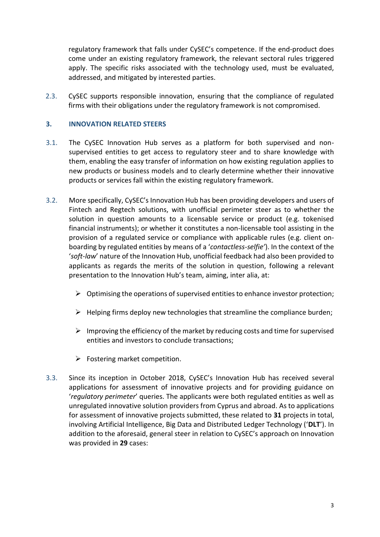regulatory framework that falls under CySEC's competence. If the end-product does come under an existing regulatory framework, the relevant sectoral rules triggered apply. The specific risks associated with the technology used, must be evaluated, addressed, and mitigated by interested parties.

2.3. CySEC supports responsible innovation, ensuring that the compliance of regulated firms with their obligations under the regulatory framework is not compromised.

### <span id="page-3-0"></span>**3. INNOVATION RELATED STEERS**

- 3.1. The CySEC Innovation Hub serves as a platform for both supervised and nonsupervised entities to get access to regulatory steer and to share knowledge with them, enabling the easy transfer of information on how existing regulation applies to new products or business models and to clearly determine whether their innovative products or services fall within the existing regulatory framework.
- 3.2. More specifically, CySEC's Innovation Hub has been providing developers and users of Fintech and Regtech solutions, with unofficial perimeter steer as to whether the solution in question amounts to a licensable service or product (e.g. tokenised financial instruments); or whether it constitutes a non-licensable tool assisting in the provision of a regulated service or compliance with applicable rules (e.g. client onboarding by regulated entities by means of a '*contactless-selfie'*). In the context of the '*soft-law*' nature of the Innovation Hub, unofficial feedback had also been provided to applicants as regards the merits of the solution in question, following a relevant presentation to the Innovation Hub's team, aiming, inter alia, at:
	- $\triangleright$  Optimising the operations of supervised entities to enhance investor protection;
	- $\triangleright$  Helping firms deploy new technologies that streamline the compliance burden;
	- $\triangleright$  Improving the efficiency of the market by reducing costs and time for supervised entities and investors to conclude transactions;
	- $\triangleright$  Fostering market competition.
- 3.3. Since its inception in October 2018, CySEC's Innovation Hub has received several applications for assessment of innovative projects and for providing guidance on '*regulatory perimeter*' queries. The applicants were both regulated entities as well as unregulated innovative solution providers from Cyprus and abroad. As to applications for assessment of innovative projects submitted, these related to **31** projects in total, involving Artificial Intelligence, Big Data and Distributed Ledger Technology ('**DLT**'). In addition to the aforesaid, general steer in relation to CySEC's approach on Innovation was provided in **29** cases: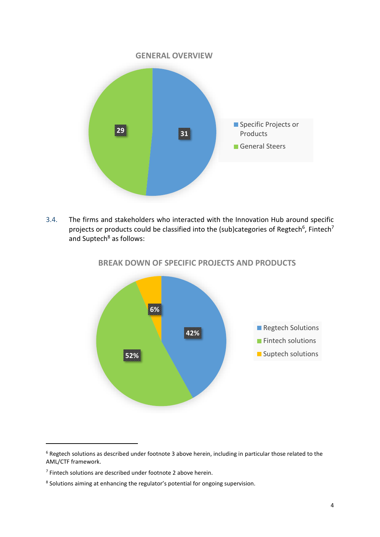

3.4. The firms and stakeholders who interacted with the Innovation Hub around specific projects or products could be classified into the (sub)categories of Regtech<sup>6</sup>, Fintech<sup>7</sup> and Suptech<sup>8</sup> as follows:



# **BREAK DOWN OF SPECIFIC PROJECTS AND PRODUCTS**

1

<sup>6</sup> Regtech solutions as described under footnote 3 above herein, including in particular those related to the AML/CTF framework.

 $<sup>7</sup>$  Fintech solutions are described under footnote 2 above herein.</sup>

<sup>&</sup>lt;sup>8</sup> Solutions aiming at enhancing the regulator's potential for ongoing supervision.